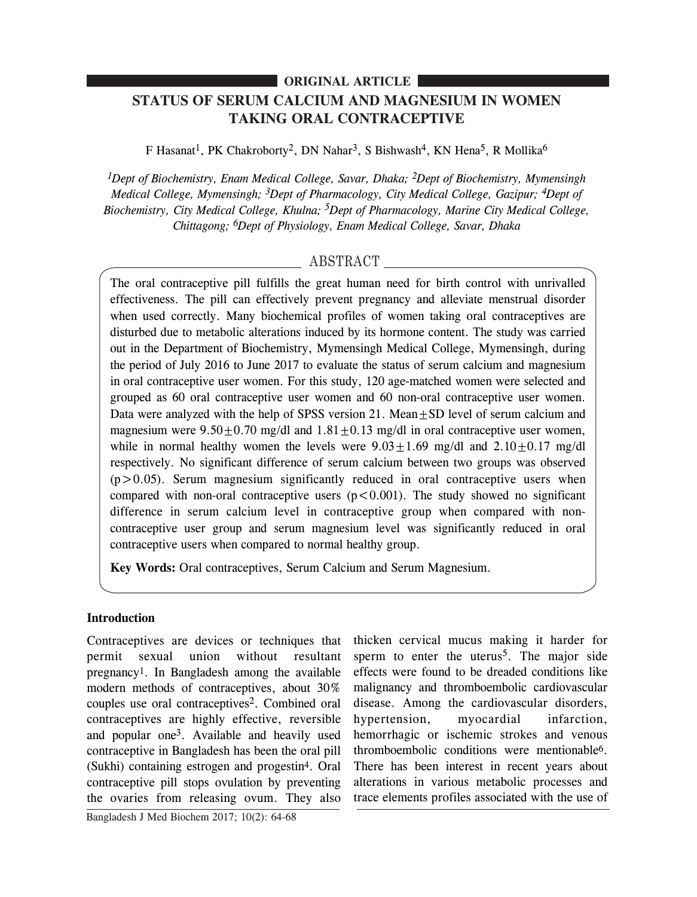## **ORIGINAL ARTICLE**

# **STATUS OF SERUM CALCIUM AND MAGNESIUM IN WOMEN TAKING ORAL CONTRACEPTIVE**

F Hasanat<sup>1</sup>, PK Chakroborty<sup>2</sup>, DN Nahar<sup>3</sup>, S Bishwash<sup>4</sup>, KN Hena<sup>5</sup>, R Mollika<sup>6</sup>

*1Dept of Biochemistry, Enam Medical College, Savar, Dhaka; 2Dept of Biochemistry, Mymensingh Medical College, Mymensingh; 3Dept of Pharmacology, City Medical College, Gazipur; 4Dept of Biochemistry, City Medical College, Khulna; 5Dept of Pharmacology, Marine City Medical College, Chittagong; 6Dept of Physiology, Enam Medical College, Savar, Dhaka*

## ABSTRACT

The oral contraceptive pill fulfills the great human need for birth control with unrivalled effectiveness. The pill can effectively prevent pregnancy and alleviate menstrual disorder when used correctly. Many biochemical profiles of women taking oral contraceptives are disturbed due to metabolic alterations induced by its hormone content. The study was carried out in the Department of Biochemistry, Mymensingh Medical College, Mymensingh, during the period of July 2016 to June 2017 to evaluate the status of serum calcium and magnesium in oral contraceptive user women. For this study, 120 age-matched women were selected and grouped as 60 oral contraceptive user women and 60 non-oral contraceptive user women. Data were analyzed with the help of SPSS version 21. Mean $\pm$ SD level of serum calcium and magnesium were  $9.50 \pm 0.70$  mg/dl and  $1.81 \pm 0.13$  mg/dl in oral contraceptive user women, while in normal healthy women the levels were  $9.03+1.69$  mg/dl and  $2.10+0.17$  mg/dl respectively. No significant difference of serum calcium between two groups was observed  $(p>0.05)$ . Serum magnesium significantly reduced in oral contraceptive users when compared with non-oral contraceptive users  $(p < 0.001)$ . The study showed no significant difference in serum calcium level in contraceptive group when compared with noncontraceptive user group and serum magnesium level was significantly reduced in oral contraceptive users when compared to normal healthy group.

**Key Words:** Oral contraceptives, Serum Calcium and Serum Magnesium.

### **Introduction**

Contraceptives are devices or techniques that permit sexual union without resultant pregnancy1. In Bangladesh among the available modern methods of contraceptives, about 30% couples use oral contraceptives<sup>2</sup>. Combined oral contraceptives are highly effective, reversible and popular one3. Available and heavily used contraceptive in Bangladesh has been the oral pill (Sukhi) containing estrogen and progestin4. Oral contraceptive pill stops ovulation by preventing the ovaries from releasing ovum. They also

sperm to enter the uterus<sup>5</sup>. The major side effects were found to be dreaded conditions like malignancy and thromboembolic cardiovascular disease. Among the cardiovascular disorders, hypertension, myocardial infarction, hemorrhagic or ischemic strokes and venous thromboembolic conditions were mentionable6. There has been interest in recent years about alterations in various metabolic processes and trace elements profiles associated with the use of

thicken cervical mucus making it harder for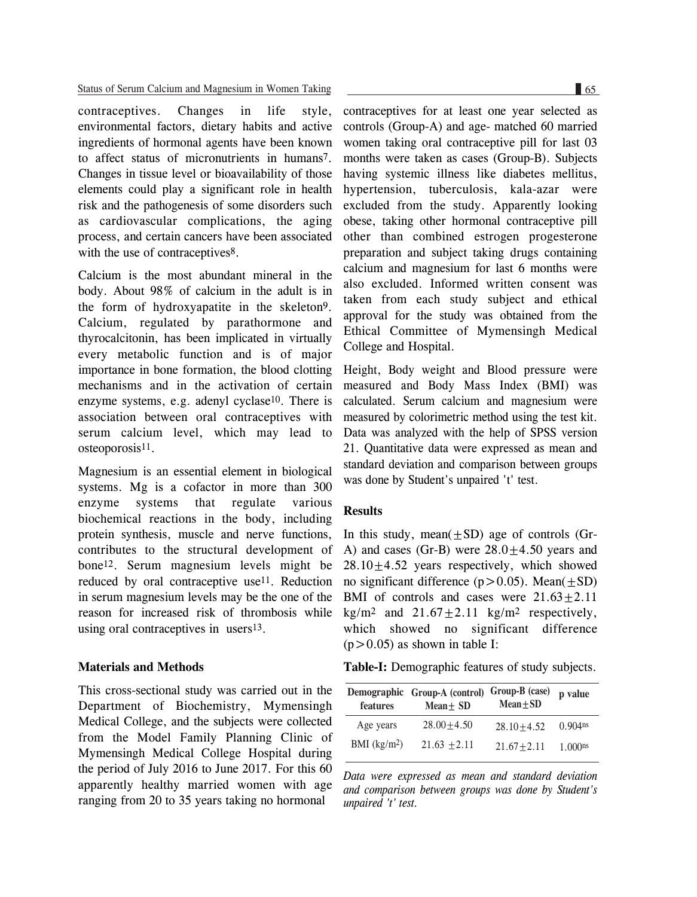contraceptives. Changes in life style, environmental factors, dietary habits and active ingredients of hormonal agents have been known to affect status of micronutrients in humans7. Changes in tissue level or bioavailability of those elements could play a significant role in health risk and the pathogenesis of some disorders such as cardiovascular complications, the aging process, and certain cancers have been associated with the use of contraceptives<sup>8</sup>.

Calcium is the most abundant mineral in the body. About 98% of calcium in the adult is in the form of hydroxyapatite in the skeleton9. Calcium, regulated by parathormone and thyrocalcitonin, has been implicated in virtually every metabolic function and is of major importance in bone formation, the blood clotting mechanisms and in the activation of certain enzyme systems, e.g. adenyl cyclase10. There is association between oral contraceptives with serum calcium level, which may lead to osteoporosis11.

Magnesium is an essential element in biological systems. Mg is a cofactor in more than 300 enzyme systems that regulate various biochemical reactions in the body, including protein synthesis, muscle and nerve functions, contributes to the structural development of bone12. Serum magnesium levels might be reduced by oral contraceptive use11. Reduction in serum magnesium levels may be the one of the reason for increased risk of thrombosis while using oral contraceptives in users13.

#### **Materials and Methods**

This cross-sectional study was carried out in the Department of Biochemistry, Mymensingh Medical College, and the subjects were collected from the Model Family Planning Clinic of Mymensingh Medical College Hospital during the period of July 2016 to June 2017. For this 60 apparently healthy married women with age ranging from 20 to 35 years taking no hormonal

contraceptives for at least one year selected as controls (Group-A) and age- matched 60 married women taking oral contraceptive pill for last 03 months were taken as cases (Group-B). Subjects having systemic illness like diabetes mellitus, hypertension, tuberculosis, kala-azar were excluded from the study. Apparently looking obese, taking other hormonal contraceptive pill other than combined estrogen progesterone preparation and subject taking drugs containing calcium and magnesium for last 6 months were also excluded. Informed written consent was taken from each study subject and ethical approval for the study was obtained from the Ethical Committee of Mymensingh Medical College and Hospital.

Height, Body weight and Blood pressure were measured and Body Mass Index (BMI) was calculated. Serum calcium and magnesium were measured by colorimetric method using the test kit. Data was analyzed with the help of SPSS version 21. Quantitative data were expressed as mean and standard deviation and comparison between groups was done by Student's unpaired 't' test.

#### **Results**

In this study, mean $(\pm SD)$  age of controls (Gr-A) and cases (Gr-B) were  $28.0 \pm 4.50$  years and  $28.10+4.52$  years respectively, which showed no significant difference  $(p>0.05)$ . Mean $(+SD)$ BMI of controls and cases were  $21.63 \pm 2.11$  $kg/m<sup>2</sup>$  and  $21.67+2.11$  kg/m<sup>2</sup> respectively, which showed no significant difference  $(p>0.05)$  as shown in table I:

**Table-I:** Demographic features of study subjects.

| features      | Demographic Group-A (control)<br>Mean $\pm$ SD | Group-B (case)<br>$Mean + SD$ | p value    |
|---------------|------------------------------------------------|-------------------------------|------------|
| Age years     | $28.00 + 4.50$                                 | $28.10 + 4.52$                | $0.904$ ns |
| BMI $(kg/m2)$ | $21.63 + 2.11$                                 | $21.67 + 2.11$                | 1.000ns    |

*Data were expressed as mean and standard deviation and comparison between groups was done by Student's unpaired 't' test.*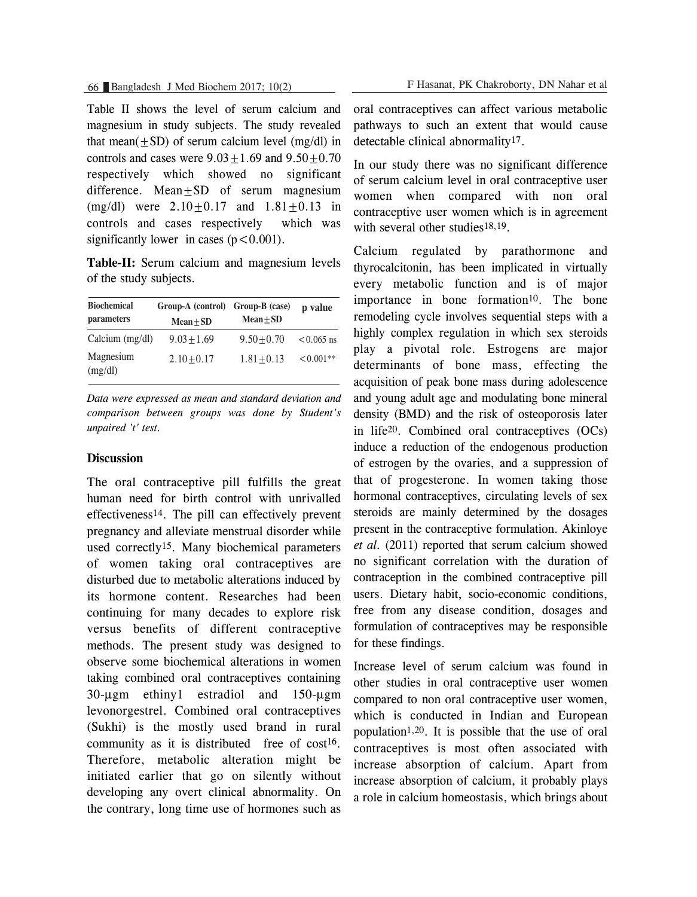Table II shows the level of serum calcium and magnesium in study subjects. The study revealed that mean( $\pm$ SD) of serum calcium level (mg/dl) in controls and cases were  $9.03 \pm 1.69$  and  $9.50 \pm 0.70$ respectively which showed no significant difference. Mean $\pm$ SD of serum magnesium (mg/dl) were  $2.10 \pm 0.17$  and  $1.81 \pm 0.13$  in controls and cases respectively which was significantly lower in cases  $(p < 0.001)$ .

**Table-II:** Serum calcium and magnesium levels of the study subjects.

| <b>Biochemical</b><br>parameters | Group-A (control) Group-B (case)<br>$Mean \pm SD$ | $Mean \pm SD$ | p value      |
|----------------------------------|---------------------------------------------------|---------------|--------------|
| Calcium $(mg/dl)$                | $9.03 + 1.69$                                     | $9.50 + 0.70$ | $< 0.065$ ns |
| Magnesium<br>(mg/dl)             | $2.10 + 0.17$                                     | $1.81 + 0.13$ | $< 0.001**$  |

*Data were expressed as mean and standard deviation and comparison between groups was done by Student's unpaired 't' test.*

#### **Discussion**

The oral contraceptive pill fulfills the great human need for birth control with unrivalled effectiveness14. The pill can effectively prevent pregnancy and alleviate menstrual disorder while used correctly15. Many biochemical parameters of women taking oral contraceptives are disturbed due to metabolic alterations induced by its hormone content. Researches had been continuing for many decades to explore risk versus benefits of different contraceptive methods. The present study was designed to observe some biochemical alterations in women taking combined oral contraceptives containing 30-µgm ethiny1 estradiol and 150-µgm levonorgestrel. Combined oral contraceptives (Sukhi) is the mostly used brand in rural community as it is distributed free of cost<sup>16</sup>. Therefore, metabolic alteration might be initiated earlier that go on silently without developing any overt clinical abnormality. On the contrary, long time use of hormones such as

oral contraceptives can affect various metabolic pathways to such an extent that would cause detectable clinical abnormality17.

In our study there was no significant difference of serum calcium level in oral contraceptive user women when compared with non oral contraceptive user women which is in agreement with several other studies<sup>18,19</sup>.

Calcium regulated by parathormone and thyrocalcitonin, has been implicated in virtually every metabolic function and is of major importance in bone formation<sup>10</sup>. The bone remodeling cycle involves sequential steps with a highly complex regulation in which sex steroids play a pivotal role. Estrogens are major determinants of bone mass, effecting the acquisition of peak bone mass during adolescence and young adult age and modulating bone mineral density (BMD) and the risk of osteoporosis later in life20. Combined oral contraceptives (OCs) induce a reduction of the endogenous production of estrogen by the ovaries, and a suppression of that of progesterone. In women taking those hormonal contraceptives, circulating levels of sex steroids are mainly determined by the dosages present in the contraceptive formulation. Akinloye *et al.* (2011) reported that serum calcium showed no significant correlation with the duration of contraception in the combined contraceptive pill users. Dietary habit, socio-economic conditions, free from any disease condition, dosages and formulation of contraceptives may be responsible for these findings.

Increase level of serum calcium was found in other studies in oral contraceptive user women compared to non oral contraceptive user women, which is conducted in Indian and European population1,20. It is possible that the use of oral contraceptives is most often associated with increase absorption of calcium. Apart from increase absorption of calcium, it probably plays a role in calcium homeostasis, which brings about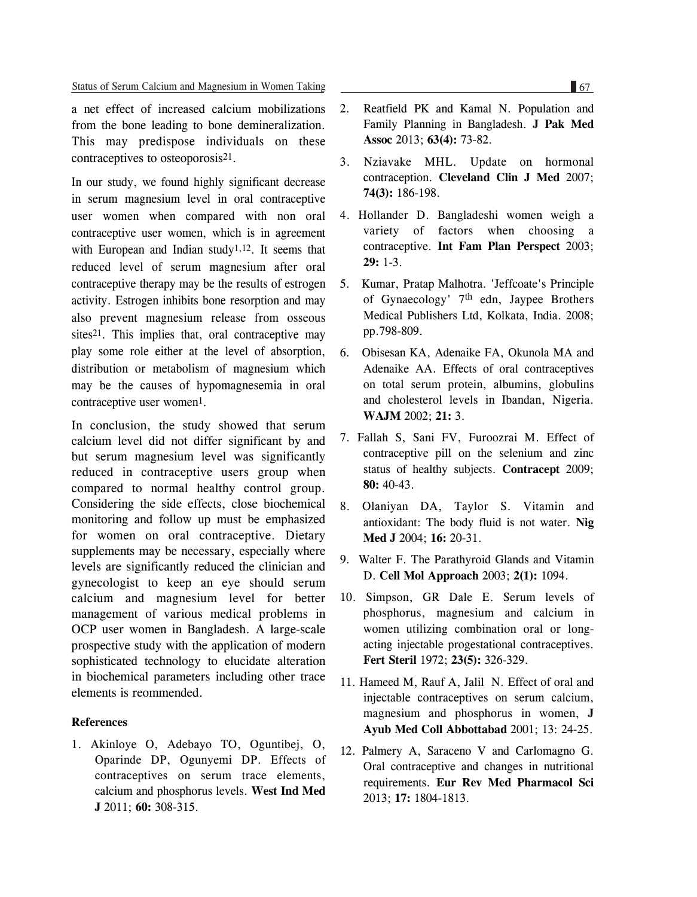a net effect of increased calcium mobilizations from the bone leading to bone demineralization. This may predispose individuals on these contraceptives to osteoporosis21.

In our study, we found highly significant decrease in serum magnesium level in oral contraceptive user women when compared with non oral contraceptive user women, which is in agreement with European and Indian study<sup>1,12</sup>. It seems that reduced level of serum magnesium after oral contraceptive therapy may be the results of estrogen activity. Estrogen inhibits bone resorption and may also prevent magnesium release from osseous sites<sup>21</sup>. This implies that, oral contraceptive may play some role either at the level of absorption, distribution or metabolism of magnesium which may be the causes of hypomagnesemia in oral contraceptive user women<sup>1</sup>.

In conclusion, the study showed that serum calcium level did not differ significant by and but serum magnesium level was significantly reduced in contraceptive users group when compared to normal healthy control group. Considering the side effects, close biochemical monitoring and follow up must be emphasized for women on oral contraceptive. Dietary supplements may be necessary, especially where levels are significantly reduced the clinician and gynecologist to keep an eye should serum calcium and magnesium level for better management of various medical problems in OCP user women in Bangladesh. A large-scale prospective study with the application of modern sophisticated technology to elucidate alteration in biochemical parameters including other trace elements is reommended.

#### **References**

1. Akinloye O, Adebayo TO, Oguntibej, O, Oparinde DP, Ogunyemi DP. Effects of contraceptives on serum trace elements, calcium and phosphorus levels. **West Ind Med J** 2011; **60:** 308-315.

- 2. Reatfield PK and Kamal N. Population and Family Planning in Bangladesh. **J Pak Med Assoc** 2013; **63(4):** 73-82.
- 3. Nziavake MHL. Update on hormonal contraception. **Cleveland Clin J Med** 2007; **74(3):** 186-198.
- 4. Hollander D. Bangladeshi women weigh a variety of factors when choosing a contraceptive. **Int Fam Plan Perspect** 2003; **29:** 1-3.
- 5. Kumar, Pratap Malhotra. 'Jeffcoate's Principle of Gynaecology' 7th edn, Jaypee Brothers Medical Publishers Ltd, Kolkata, India. 2008; pp.798-809.
- 6. Obisesan KA, Adenaike FA, Okunola MA and Adenaike AA. Effects of oral contraceptives on total serum protein, albumins, globulins and cholesterol levels in Ibandan, Nigeria. **WAJM** 2002; **21:** 3.
- 7. Fallah S, Sani FV, Furoozrai M. Effect of contraceptive pill on the selenium and zinc status of healthy subjects. **Contracept** 2009; **80:** 40-43.
- 8. Olaniyan DA, Taylor S. Vitamin and antioxidant: The body fluid is not water. **Nig Med J** 2004; **16:** 20-31.
- 9. Walter F. The Parathyroid Glands and Vitamin D. **Cell Mol Approach** 2003; **2(1):** 1094.
- 10. Simpson, GR Dale E. Serum levels of phosphorus, magnesium and calcium in women utilizing combination oral or longacting injectable progestational contraceptives. **Fert Steril** 1972; **23(5):** 326-329.
- 11. Hameed M, Rauf A, Jalil N. Effect of oral and injectable contraceptives on serum calcium, magnesium and phosphorus in women, **J Ayub Med Coll Abbottabad** 2001; 13: 24-25.
- 12. Palmery A, Saraceno V and Carlomagno G. Oral contraceptive and changes in nutritional requirements. **Eur Rev Med Pharmacol Sci** 2013; **17:** 1804-1813.